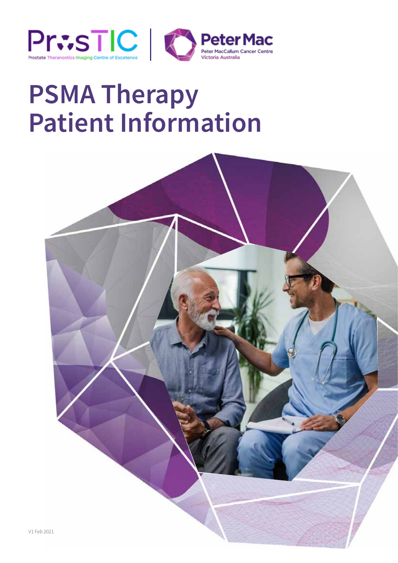



# **PSMA Therapy Patient Information**

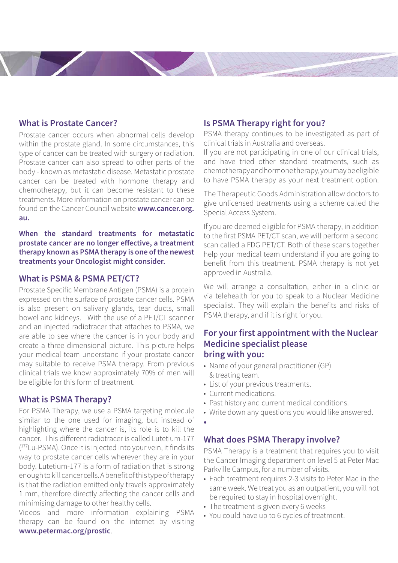## **What is Prostate Cancer?**

Prostate cancer occurs when abnormal cells develop within the prostate gland. In some circumstances, this type of cancer can be treated with surgery or radiation. Prostate cancer can also spread to other parts of the body - known as metastatic disease. Metastatic prostate cancer can be treated with hormone therapy and chemotherapy, but it can become resistant to these treatments. More information on prostate cancer can be found on the Cancer Council website **www.cancer.org. au.**

**When the standard treatments for metastatic prostate cancer are no longer effective, a treatment therapy known as PSMA therapy is one of the newest treatments your Oncologist might consider.**

### **What is PSMA & PSMA PET/CT?**

Prostate Specific Membrane Antigen (PSMA) is a protein expressed on the surface of prostate cancer cells. PSMA is also present on salivary glands, tear ducts, small bowel and kidneys. With the use of a PET/CT scanner and an injected radiotracer that attaches to PSMA, we are able to see where the cancer is in your body and create a three dimensional picture. This picture helps your medical team understand if your prostate cancer may suitable to receive PSMA therapy. From previous clinical trials we know approximately 70% of men will be eligible for this form of treatment.

#### **What is PSMA Therapy?**

For PSMA Therapy, we use a PSMA targeting molecule similar to the one used for imaging, but instead of highlighting where the cancer is, its role is to kill the cancer. This different radiotracer is called Lutetium-177 ( 177Lu-PSMA). Once it is injected into your vein, it finds its way to prostate cancer cells wherever they are in your body. Lutetium-177 is a form of radiation that is strong enough to kill cancer cells. A benefit of this type of therapy is that the radiation emitted only travels approximately 1 mm, therefore directly affecting the cancer cells and minimising damage to other healthy cells.

Videos and more information explaining PSMA therapy can be found on the internet by visiting **www.petermac.org/prostic**.

## **Is PSMA Therapy right for you?**

PSMA therapy continues to be investigated as part of clinical trials in Australia and overseas.

If you are not participating in one of our clinical trials, and have tried other standard treatments, such as chemotherapy and hormone therapy, you may be eligible to have PSMA therapy as your next treatment option.

The Therapeutic Goods Administration allow doctors to give unlicensed treatments using a scheme called the Special Access System.

If you are deemed eligible for PSMA therapy, in addition to the first PSMA PET/CT scan, we will perform a second scan called a FDG PET/CT. Both of these scans together help your medical team understand if you are going to benefit from this treatment. PSMA therapy is not yet approved in Australia.

We will arrange a consultation, either in a clinic or via telehealth for you to speak to a Nuclear Medicine specialist. They will explain the benefits and risks of PSMA therapy, and if it is right for you.

## **For your first appointment with the Nuclear Medicine specialist please bring with you:**

- Name of your general practitioner (GP) & treating team.
- List of your previous treatments.
- Current medications.
- Past history and current medical conditions.
- Write down any questions you would like answered.
- **•**

#### **What does PSMA Therapy involve?**

PSMA Therapy is a treatment that requires you to visit the Cancer Imaging department on level 5 at Peter Mac Parkville Campus, for a number of visits.

- Each treatment requires 2-3 visits to Peter Mac in the same week. We treat you as an outpatient, you will not be required to stay in hospital overnight.
- The treatment is given every 6 weeks
- You could have up to 6 cycles of treatment.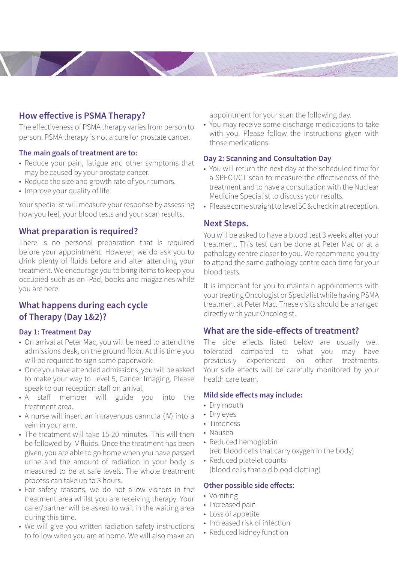# **How effective is PSMA Therapy?**

The effectiveness of PSMA therapy varies from person to person. PSMA therapy is not a cure for prostate cancer.

#### **The main goals of treatment are to:**

- Reduce your pain, fatigue and other symptoms that may be caused by your prostate cancer.
- Reduce the size and growth rate of your tumors.
- Improve your quality of life.

Your specialist will measure your response by assessing how you feel, your blood tests and your scan results.

## **What preparation is required?**

There is no personal preparation that is required before your appointment. However, we do ask you to drink plenty of fluids before and after attending your treatment. We encourage you to bring items to keep you occupied such as an iPad, books and magazines while you are here.

# **What happens during each cycle of Therapy (Day 1&2)?**

#### **Day 1: Treatment Day**

- On arrival at Peter Mac, you will be need to attend the admissions desk, on the ground floor. At this time you will be required to sign some paperwork.
- Once you have attended admissions, you will be asked to make your way to Level 5, Cancer Imaging. Please speak to our reception staff on arrival.
- A staff member will guide you into the treatment area.
- A nurse will insert an intravenous cannula (IV) into a vein in your arm.
- The treatment will take 15-20 minutes. This will then be followed by IV fluids. Once the treatment has been given, you are able to go home when you have passed urine and the amount of radiation in your body is measured to be at safe levels. The whole treatment process can take up to 3 hours.
- For safety reasons, we do not allow visitors in the treatment area whilst you are receiving therapy. Your carer/partner will be asked to wait in the waiting area during this time.
- We will give you written radiation safety instructions to follow when you are at home. We will also make an

appointment for your scan the following day.

• You may receive some discharge medications to take with you. Please follow the instructions given with those medications.

## **Day 2: Scanning and Consultation Day**

- You will return the next day at the scheduled time for a SPECT/CT scan to measure the effectiveness of the treatment and to have a consultation with the Nuclear Medicine Specialist to discuss your results.
- Please come straight to level 5C & check in at reception.

## **Next Steps.**

You will be asked to have a blood test 3 weeks after your treatment. This test can be done at Peter Mac or at a pathology centre closer to you. We recommend you try to attend the same pathology centre each time for your blood tests.

It is important for you to maintain appointments with your treating Oncologist or Specialist while having PSMA treatment at Peter Mac. These visits should be arranged directly with your Oncologist.

# **What are the side-effects of treatment?**

The side effects listed below are usually well tolerated compared to what you may have previously experienced on other treatments. Your side effects will be carefully monitored by your health care team.

#### **Mild side effects may include:**

- Dry mouth
- Dry eyes
- Tiredness
- Nausea
- Reduced hemoglobin (red blood cells that carry oxygen in the body)
- Reduced platelet counts (blood cells that aid blood clotting)

#### **Other possible side effects:**

- Vomiting
- Increased pain
- Loss of appetite
- Increased risk of infection
- Reduced kidney function